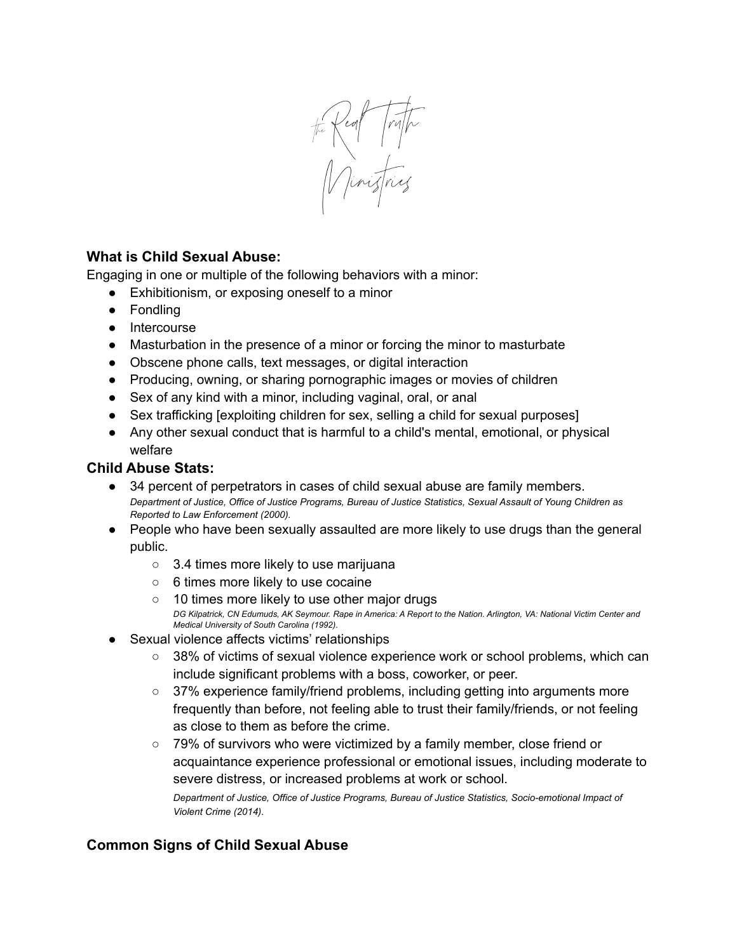the Real Truth

## **What is Child Sexual Abuse:**

Engaging in one or multiple of the following behaviors with a minor:

- Exhibitionism, or exposing oneself to a minor
- Fondling
- Intercourse
- Masturbation in the presence of a minor or forcing the minor to masturbate
- Obscene phone calls, text messages, or digital interaction
- Producing, owning, or sharing pornographic images or movies of children
- Sex of any kind with a minor, including vaginal, oral, or anal
- Sex trafficking [exploiting children for sex, selling a child for sexual purposes]
- Any other sexual conduct that is harmful to a child's mental, emotional, or physical welfare

## **Child Abuse Stats:**

- 34 percent of perpetrators in cases of child sexual abuse are family members. Department of Justice, Office of Justice Programs, Bureau of Justice Statistics, Sexual Assault of Young Children as *Reported to Law Enforcement (2000).*
- People who have been sexually assaulted are more likely to use drugs than the general public.
	- 3.4 times more likely to use marijuana
	- 6 times more likely to use cocaine
	- 10 times more likely to use other major drugs DG Kilpatrick, CN Edumuds, AK Seymour. Rape in America: A Report to the Nation. Arlington, VA: National Victim Center and *Medical University of South Carolina (1992).*
- Sexual violence affects victims' relationships
	- 38% of victims of sexual violence experience work or school problems, which can include significant problems with a boss, coworker, or peer.
	- 37% experience family/friend problems, including getting into arguments more frequently than before, not feeling able to trust their family/friends, or not feeling as close to them as before the crime.
	- 79% of survivors who were victimized by a family member, close friend or acquaintance experience professional or emotional issues, including moderate to severe distress, or increased problems at work or school.

*Department of Justice, Office of Justice Programs, Bureau of Justice Statistics, Socio-emotional Impact of Violent Crime (2014).*

## **Common Signs of Child Sexual Abuse**